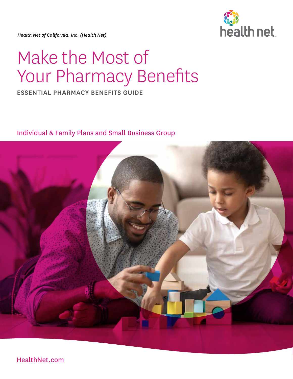*Health Net of California, Inc. (Health Net)* 



# Make the Most of Your Pharmacy Benefits

### ESSENTIAL PHARMACY BENEFITS GUIDE

Individual & Family Plans and Small Business Group



HealthNet.com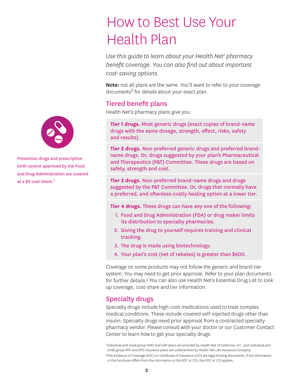# How to Best Use Your Health Plan

*Use this guide to learn about your Health Net1 pharmacy benefit coverage. You can also find out about important cost-saving options.* 

Note: not all plans are the same. You'll want to refer to your coverage documents*2* for details about your exact plan.

#### Tiered benefit plans

Health Net's pharmacy plans give you:

**Tier 1 drugs.** Most generic drugs (exact copies of brand-name drugs with the same dosage, strength, effect, risks, safety and results).

**Tier 2 drugs.** Non-preferred generic drugs and preferred brandname drugs. Or, drugs suggested by your plan's Pharmaceutical and Therapeutics (P&T) Committee. These drugs are based on safety, strength and cost.

**Tier 3 drugs.** Non-preferred brand-name drugs and drugs suggested by the P&T Committee. Or, drugs that normally have a preferred, and oftenless-costly healing option at a lower tier.

**Tier 4 drugs.** These drugs can have any one of the following:

- 1. Food and Drug Administration (FDA) or drug maker limits its distribution to specialty pharmacies.
- 2. Giving the drug to yourself requires training and clinical tracking.
- 3. The drug is made using biotechnology.
- 4. Your plan's cost (net of rebates) is greater than \$600.

Coverage on some products may not follow the generic and brand tier system. You may need to get prior approval. Refer to your plan documents for further details.<sup>2</sup> You can also use Health Net's Essential Drug List to look up coverage, cost-share and tier information.

#### Specialty drugs

Specialty drugs include high-cost medications used to treat complex medical conditions. These include covered self-injected drugs other than insulin. Specialty drugs need prior approval from a contracted specialty pharmacy vendor. Please consult with your doctor or our Customer Contact Center to learn how to get your specialty drugs.

1Individual and small group HMO and HSP plans are provided by Health Net of California, Inc., and individual and small group PPO and EPO insurance plans are underwritten by Health Net Life Insurance Company. 2The Evidence of Coverage (EOC) or Certificate of Insurance (COI) are legal binding documents. If the information in this brochure differs from the information in the EOC or COI, the EOC or COI applies.



Preventive drugs and prescription birth control approved by the Food and Drug Administration are covered at a \$0 cost-share.2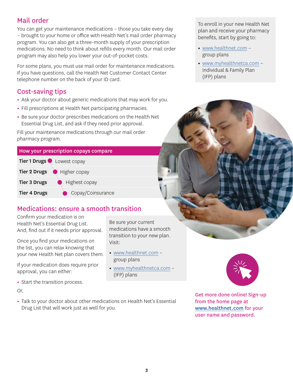## Mail order

You can get your maintenance medications – those you take every day – brought to your home or office with Health Net's mail order pharmacy program. You can also get a three-month supply of your prescription medications. No need to think about refills every month. Our mail order program may also help you lower your out-of-pocket costs.

For some plans, you must use mail order for maintenance medications. If you have questions, call the Health Net Customer Contact Center telephone number on the back of your ID card.

# Cost-saving tips

- **•** Ask your doctor about generic medications that may work for you.
- **•** Fill prescriptions at Health Net participating pharmacies.
- **•** Be sure your doctor prescribes medications on the Health Net Essential Drug List, and ask if they need prior approval.

Fill your maintenance medications through our mail order pharmacy program.

# How your prescription copays compare Tier 1 Drugs Lowest copay Tier 2 Drugs Higher copay Tier 3 Drugs • Highest copay Tier 4 Drugs **Copay/Coinsurance**

# Medications: ensure a smooth transition

Confirm your medication is on Health Net's Essential Drug List. And, find out if it needs prior approval.

Once you find your medications on the list, you can relax knowing that your new Health Net plan covers them.

If your medication does require prior approval, you can either:

**•** Start the transition process.

#### *Or,*

**•** Talk to your doctor about other medications on Health Net's Essential Drug List that will work just as well for you.

To enroll in your new Health Net plan and receive your pharmacy benefits, start by going to:

- **•** [www.healthnet.com](https://www.healthnet.com/content/healthnet/en_us.html)  group plans
- **•** [www.myhealthnetca.com](https://ifp.healthnetcalifornia.com/)  Individual & Family Plan (IFP) plans



- **•** [www.healthnet.com](https://www.healthnet.com/content/healthnet/en_us.html) group plans
- **•** [www.myhealthnetca.com](https://ifp.healthnetcalifornia.com/) (IFP) plans



Get more done online! Sign-up from the home page at [www.healthnet.com](https://www.healthnet.com/content/healthnet/en_us.html) for your user name and password.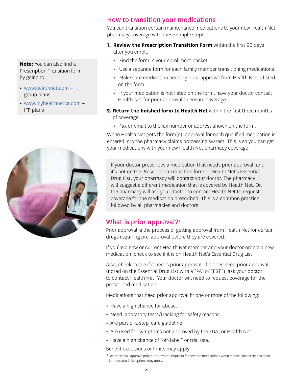**Note:** You can also find a Prescription Transition form by going to:

- [www.healthnet.com](https://www.healthnet.com/content/healthnet/en_us.html) group plans
- [www.myhealthnetca.com](https://ifp.healthnetcalifornia.com) IFP plans



#### How to transition your medications

You can transition certain maintenance medications to your new Health Net pharmacy coverage with these simple steps:

- **1. Review the Prescription Transition Form** within the first 90 days after you enroll.
	- **•** Find the form in your enrollment packet.
	- **•** Use a separate form for each family member transitioning medications.
	- **•** Make sure medication needing prior approval from Health Net is listed on the form.
	- **•** If your medication is not listed on the form, have your doctor contact Health Net for prior approval to ensure coverage.
- **2. Return the finished form to Health Net** within the first three months of coverage.
	- **•** Fax or email to the fax number or address shown on the form.

When Health Net gets the form(s), approval for each qualified medication is entered into the pharmacy claims processing system. This is so you can get your medications with your new Health Net pharmacy coverage.

If your doctor prescribes a medication that needs prior approval, and it's not on the Prescription Transition form or Health Net's Essential Drug List, your pharmacy will contact your doctor. The pharmacy will suggest a different medication that is covered by Health Net. Or, the pharmacy will ask your doctor to contact Health Net to request coverage for the medication prescribed. This is a common practice followed by all pharmacies and doctors.

## What is prior approval? $33$

Prior approval is the process of getting approval from Health Net for certain drugs requiring pre-approval before they are covered.

If you're a new or current Health Net member and your doctor orders a new medication, check to see if it is on Health Net's Essential Drug List.

Also, check to see if it needs prior approval. If it does need prior approval (noted on the Essential Drug List with a "PA" or "EST"), ask your doctor to contact Health Net. Your doctor will need to request coverage for the prescribed medication.

Medications that need prior approval fit one or more of the following:

- **•** Have a high chance for abuse.
- **•** Need laboratory tests/tracking for safety reasons.
- **•** Are part of a step-care guideline.
- **•** Are used for symptoms not approved by the FDA, or Health Net.
- **•** Have a high chance of "off-label" or trial use.

Benefit exclusions or limits may apply.

3Health Net will approve prior authorization requests for covered medications when medical necessity has been demonstrated. Exceptions may apply.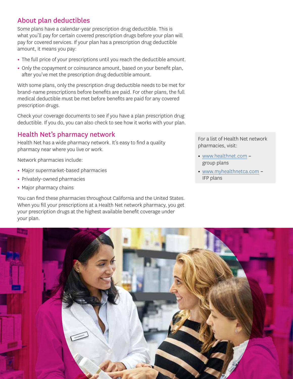# About plan deductibles

Some plans have a calendar-year prescription drug deductible. This is what you'll pay for certain covered prescription drugs before your plan will pay for covered services. If your plan has a prescription drug deductible amount, it means you pay:

- The full price of your prescriptions until you reach the deductible amount.
- Only the copayment or coinsurance amount, based on your benefit plan, after you've met the prescription drug deductible amount.

With some plans, only the prescription drug deductible needs to be met for brand-name prescriptions before benefits are paid. For other plans, the full medical deductible must be met before benefits are paid for any covered prescription drugs.

 deductible. If you do, you can also check to see how it works with your plan. Check your coverage documents to see if you have a plan prescription drug

# Health Net's pharmacy network

Health Net has a wide pharmacy network. It's easy to find a quality pharmacy near where you live or work.

Network pharmacies include:

- Major supermarket-based pharmacies
- Privately-owned pharmacies
- Major pharmacy chains

You can find these pharmacies throughout California and the United States. When you fill your prescriptions at a Health Net network pharmacy, you get your prescription drugs at the highest available benefit coverage under your plan.

For a list of Health Net network pharmacies, visit:

- [www.healthnet.com](https://www.healthnet.com/content/healthnet/en_us.html) group plans
- [www.myhealthnetca.com](https://ifp.healthnetcalifornia.com) IFP plans